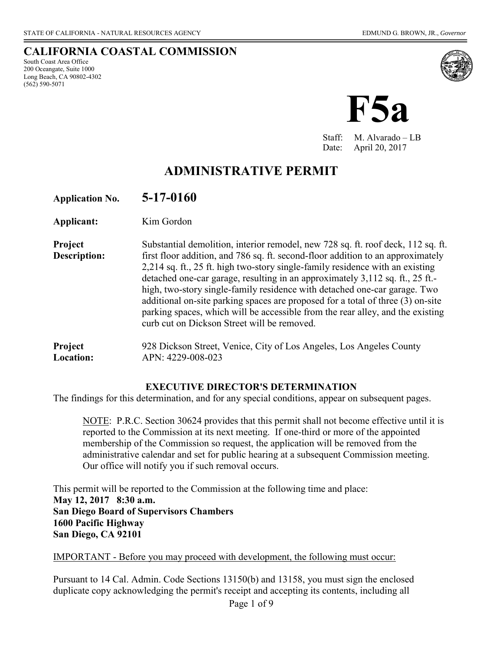#### **CALIFORNIA COASTAL COMMISSION**  South Coast Area Office

200 Oceangate, Suite 1000 Long Beach, CA 90802-4302 (562) 590-5071



Staff: M. Alvarado – LB Date: April 20, 2017

# **ADMINISTRATIVE PERMIT**

**Application No. 5-17-0160**

**Applicant:** Kim Gordon

**Project** Substantial demolition, interior remodel, new 728 sq. ft. roof deck, 112 sq. ft. **Description:** first floor addition, and 786 sq. ft. second-floor addition to an approximately 2,214 sq. ft., 25 ft. high two-story single-family residence with an existing detached one-car garage, resulting in an approximately 3,112 sq. ft., 25 ft. high, two-story single-family residence with detached one-car garage. Two additional on-site parking spaces are proposed for a total of three (3) on-site parking spaces, which will be accessible from the rear alley, and the existing curb cut on Dickson Street will be removed.

**Project** 928 Dickson Street, Venice, City of Los Angeles, Los Angeles County **Location:** APN: 4229-008-023

#### **EXECUTIVE DIRECTOR'S DETERMINATION**

The findings for this determination, and for any special conditions, appear on subsequent pages.

NOTE: P.R.C. Section 30624 provides that this permit shall not become effective until it is reported to the Commission at its next meeting. If one-third or more of the appointed membership of the Commission so request, the application will be removed from the administrative calendar and set for public hearing at a subsequent Commission meeting. Our office will notify you if such removal occurs.

This permit will be reported to the Commission at the following time and place: **May 12, 2017 8:30 a.m. San Diego Board of Supervisors Chambers 1600 Pacific Highway San Diego, CA 92101** 

IMPORTANT - Before you may proceed with development, the following must occur:

Pursuant to 14 Cal. Admin. Code Sections 13150(b) and 13158, you must sign the enclosed duplicate copy acknowledging the permit's receipt and accepting its contents, including all

Page 1 of 9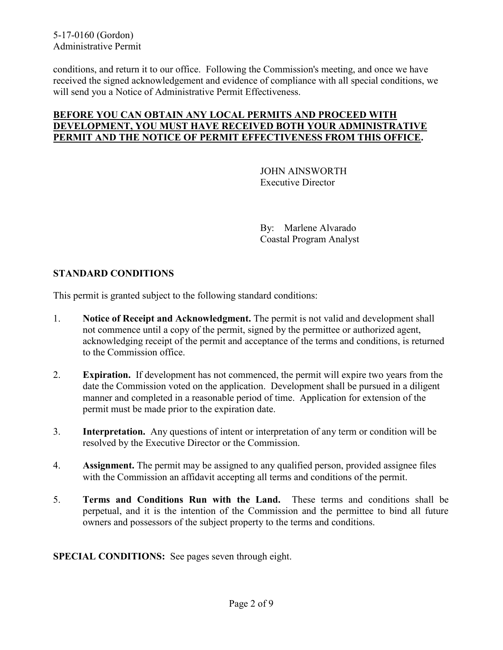conditions, and return it to our office. Following the Commission's meeting, and once we have received the signed acknowledgement and evidence of compliance with all special conditions, we will send you a Notice of Administrative Permit Effectiveness.

#### **BEFORE YOU CAN OBTAIN ANY LOCAL PERMITS AND PROCEED WITH DEVELOPMENT, YOU MUST HAVE RECEIVED BOTH YOUR ADMINISTRATIVE PERMIT AND THE NOTICE OF PERMIT EFFECTIVENESS FROM THIS OFFICE.**

 JOHN AINSWORTH Executive Director

By: Marlene Alvarado Coastal Program Analyst

## **STANDARD CONDITIONS**

This permit is granted subject to the following standard conditions:

- 1. **Notice of Receipt and Acknowledgment.** The permit is not valid and development shall not commence until a copy of the permit, signed by the permittee or authorized agent, acknowledging receipt of the permit and acceptance of the terms and conditions, is returned to the Commission office.
- 2. **Expiration.** If development has not commenced, the permit will expire two years from the date the Commission voted on the application. Development shall be pursued in a diligent manner and completed in a reasonable period of time. Application for extension of the permit must be made prior to the expiration date.
- 3. **Interpretation.** Any questions of intent or interpretation of any term or condition will be resolved by the Executive Director or the Commission.
- 4. **Assignment.** The permit may be assigned to any qualified person, provided assignee files with the Commission an affidavit accepting all terms and conditions of the permit.
- 5. **Terms and Conditions Run with the Land.** These terms and conditions shall be perpetual, and it is the intention of the Commission and the permittee to bind all future owners and possessors of the subject property to the terms and conditions.

**SPECIAL CONDITIONS:** See pages seven through eight.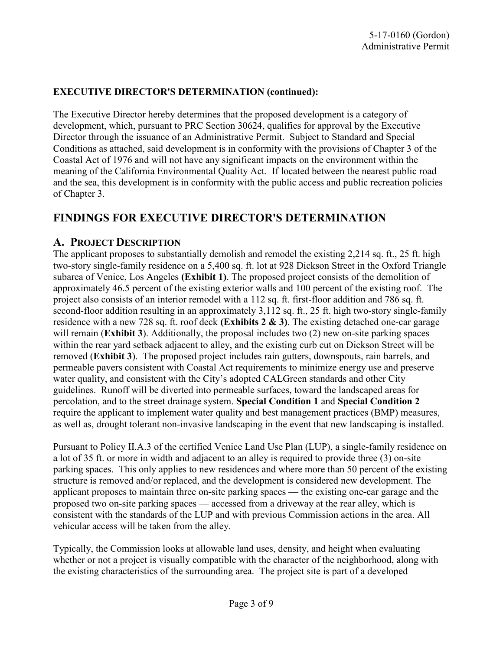### **EXECUTIVE DIRECTOR'S DETERMINATION (continued):**

The Executive Director hereby determines that the proposed development is a category of development, which, pursuant to PRC Section 30624, qualifies for approval by the Executive Director through the issuance of an Administrative Permit. Subject to Standard and Special Conditions as attached, said development is in conformity with the provisions of Chapter 3 of the Coastal Act of 1976 and will not have any significant impacts on the environment within the meaning of the California Environmental Quality Act. If located between the nearest public road and the sea, this development is in conformity with the public access and public recreation policies of Chapter 3.

## **FINDINGS FOR EXECUTIVE DIRECTOR'S DETERMINATION**

## **A. PROJECT DESCRIPTION**

The applicant proposes to substantially demolish and remodel the existing 2,214 sq. ft., 25 ft. high two-story single-family residence on a 5,400 sq. ft. lot at 928 Dickson Street in the Oxford Triangle subarea of Venice, Los Angeles **[\(Exhibit 1\)](https://documents.coastal.ca.gov/reports/2017/5/F5a/F5a-5-2017-exhibits.pdf)**. The proposed project consists of the demolition of approximately 46.5 percent of the existing exterior walls and 100 percent of the existing roof. The project also consists of an interior remodel with a 112 sq. ft. first-floor addition and 786 sq. ft. second-floor addition resulting in an approximately 3,112 sq. ft., 25 ft. high two-story single-family residence with a new 728 sq. ft. roof deck **[\(Exhibits](https://documents.coastal.ca.gov/reports/2017/5/F5a/F5a-5-2017-exhibits.pdf) 2 & 3)**. The existing detached one-car garage will remain (**[Exhibit 3](https://documents.coastal.ca.gov/reports/2017/5/F5a/F5a-5-2017-exhibits.pdf)**). Additionally, the proposal includes two (2) new on-site parking spaces within the rear yard setback adjacent to alley, and the existing curb cut on Dickson Street will be removed (**[Exhibit 3](https://documents.coastal.ca.gov/reports/2017/5/F5a/F5a-5-2017-exhibits.pdf)**). The proposed project includes rain gutters, downspouts, rain barrels, and permeable pavers consistent with Coastal Act requirements to minimize energy use and preserve water quality, and consistent with the City's adopted CALGreen standards and other City guidelines. Runoff will be diverted into permeable surfaces, toward the landscaped areas for percolation, and to the street drainage system. **Special Condition 1** and **Special Condition 2**  require the applicant to implement water quality and best management practices (BMP) measures, as well as, drought tolerant non-invasive landscaping in the event that new landscaping is installed.

Pursuant to Policy II.A.3 of the certified Venice Land Use Plan (LUP), a single-family residence on a lot of 35 ft. or more in width and adjacent to an alley is required to provide three (3) on-site parking spaces. This only applies to new residences and where more than 50 percent of the existing structure is removed and/or replaced, and the development is considered new development. The applicant proposes to maintain three on**-**site parking spaces — the existing one**-**car garage and the proposed two on-site parking spaces — accessed from a driveway at the rear alley, which is consistent with the standards of the LUP and with previous Commission actions in the area. All vehicular access will be taken from the alley.

Typically, the Commission looks at allowable land uses, density, and height when evaluating whether or not a project is visually compatible with the character of the neighborhood, along with the existing characteristics of the surrounding area. The project site is part of a developed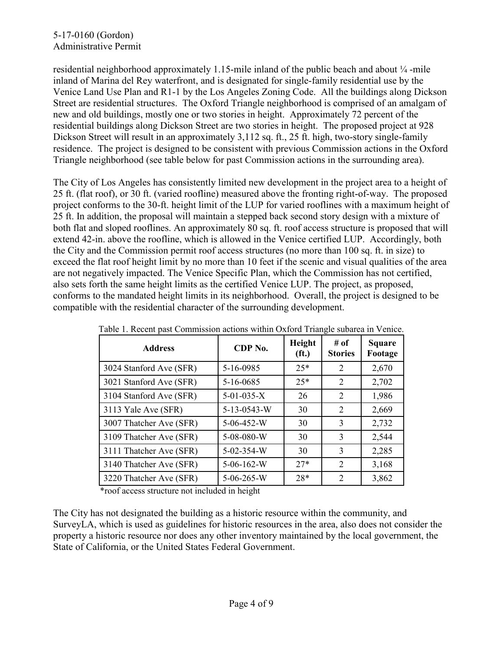residential neighborhood approximately 1.15-mile inland of the public beach and about  $\frac{1}{4}$ -mile inland of Marina del Rey waterfront, and is designated for single-family residential use by the Venice Land Use Plan and R1-1 by the Los Angeles Zoning Code. All the buildings along Dickson Street are residential structures. The Oxford Triangle neighborhood is comprised of an amalgam of new and old buildings, mostly one or two stories in height. Approximately 72 percent of the residential buildings along Dickson Street are two stories in height. The proposed project at 928 Dickson Street will result in an approximately 3,112 sq. ft., 25 ft. high, two-story single-family residence. The project is designed to be consistent with previous Commission actions in the Oxford Triangle neighborhood (see table below for past Commission actions in the surrounding area).

The City of Los Angeles has consistently limited new development in the project area to a height of 25 ft. (flat roof), or 30 ft. (varied roofline) measured above the fronting right-of-way. The proposed project conforms to the 30-ft. height limit of the LUP for varied rooflines with a maximum height of 25 ft. In addition, the proposal will maintain a stepped back second story design with a mixture of both flat and sloped rooflines. An approximately 80 sq. ft. roof access structure is proposed that will extend 42-in. above the roofline, which is allowed in the Venice certified LUP. Accordingly, both the City and the Commission permit roof access structures (no more than 100 sq. ft. in size) to exceed the flat roof height limit by no more than 10 feet if the scenic and visual qualities of the area are not negatively impacted. The Venice Specific Plan, which the Commission has not certified, also sets forth the same height limits as the certified Venice LUP. The project, as proposed, conforms to the mandated height limits in its neighborhood. Overall, the project is designed to be compatible with the residential character of the surrounding development.

| <b>Address</b>          | CDP No.            | Height<br>(f <sub>t</sub> ) | # of<br><b>Stories</b> | <b>Square</b><br>Footage |
|-------------------------|--------------------|-----------------------------|------------------------|--------------------------|
| 3024 Stanford Ave (SFR) | 5-16-0985          | $25*$                       | 2                      | 2,670                    |
| 3021 Stanford Ave (SFR) | 5-16-0685          | $25*$                       | 2                      | 2,702                    |
| 3104 Stanford Ave (SFR) | $5-01-035-X$       | 26                          | 2                      | 1,986                    |
| 3113 Yale Ave (SFR)     | 5-13-0543-W        | 30                          | 2                      | 2,669                    |
| 3007 Thatcher Ave (SFR) | 5-06-452-W         | 30                          | 3                      | 2,732                    |
| 3109 Thatcher Ave (SFR) | 5-08-080-W         | 30                          | 3                      | 2,544                    |
| 3111 Thatcher Ave (SFR) | $5 - 02 - 354 - W$ | 30                          | 3                      | 2,285                    |
| 3140 Thatcher Ave (SFR) | $5-06-162-W$       | $27*$                       | 2                      | 3,168                    |
| 3220 Thatcher Ave (SFR) | $5 - 06 - 265 - W$ | $28*$                       | $\mathcal{D}$          | 3,862                    |

Table 1. Recent past Commission actions within Oxford Triangle subarea in Venice.

\*roof access structure not included in height

The City has not designated the building as a historic resource within the community, and SurveyLA, which is used as guidelines for historic resources in the area, also does not consider the property a historic resource nor does any other inventory maintained by the local government, the State of California, or the United States Federal Government.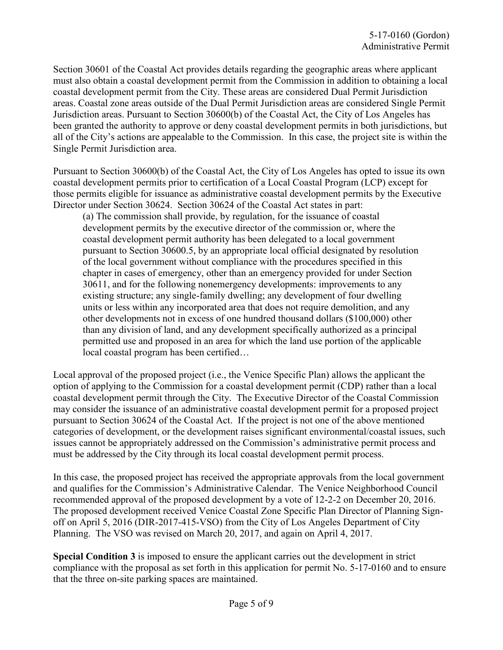Section 30601 of the Coastal Act provides details regarding the geographic areas where applicant must also obtain a coastal development permit from the Commission in addition to obtaining a local coastal development permit from the City. These areas are considered Dual Permit Jurisdiction areas. Coastal zone areas outside of the Dual Permit Jurisdiction areas are considered Single Permit Jurisdiction areas. Pursuant to Section 30600(b) of the Coastal Act, the City of Los Angeles has been granted the authority to approve or deny coastal development permits in both jurisdictions, but all of the City's actions are appealable to the Commission. In this case, the project site is within the Single Permit Jurisdiction area.

Pursuant to Section 30600(b) of the Coastal Act, the City of Los Angeles has opted to issue its own coastal development permits prior to certification of a Local Coastal Program (LCP) except for those permits eligible for issuance as administrative coastal development permits by the Executive Director under Section 30624. Section 30624 of the Coastal Act states in part:

(a) The commission shall provide, by regulation, for the issuance of coastal development permits by the executive director of the commission or, where the coastal development permit authority has been delegated to a local government pursuant to Section 30600.5, by an appropriate local official designated by resolution of the local government without compliance with the procedures specified in this chapter in cases of emergency, other than an emergency provided for under Section 30611, and for the following nonemergency developments: improvements to any existing structure; any single-family dwelling; any development of four dwelling units or less within any incorporated area that does not require demolition, and any other developments not in excess of one hundred thousand dollars (\$100,000) other than any division of land, and any development specifically authorized as a principal permitted use and proposed in an area for which the land use portion of the applicable local coastal program has been certified…

Local approval of the proposed project (i.e., the Venice Specific Plan) allows the applicant the option of applying to the Commission for a coastal development permit (CDP) rather than a local coastal development permit through the City. The Executive Director of the Coastal Commission may consider the issuance of an administrative coastal development permit for a proposed project pursuant to Section 30624 of the Coastal Act. If the project is not one of the above mentioned categories of development, or the development raises significant environmental/coastal issues, such issues cannot be appropriately addressed on the Commission's administrative permit process and must be addressed by the City through its local coastal development permit process.

In this case, the proposed project has received the appropriate approvals from the local government and qualifies for the Commission's Administrative Calendar. The Venice Neighborhood Council recommended approval of the proposed development by a vote of 12-2-2 on December 20, 2016. The proposed development received Venice Coastal Zone Specific Plan Director of Planning Signoff on April 5, 2016 (DIR-2017-415-VSO) from the City of Los Angeles Department of City Planning. The VSO was revised on March 20, 2017, and again on April 4, 2017.

**Special Condition 3** is imposed to ensure the applicant carries out the development in strict compliance with the proposal as set forth in this application for permit No. 5-17-0160 and to ensure that the three on-site parking spaces are maintained.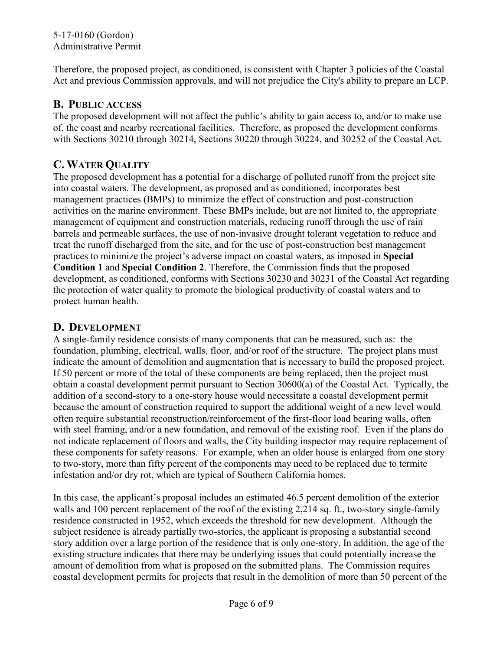#### 5-17-0160 (Gordon) Administrative Permit

Therefore, the proposed project, as conditioned, is consistent with Chapter 3 policies of the Coastal Act and previous Commission approvals, and will not prejudice the City's ability to prepare an LCP.

## **B. PUBLIC ACCESS**

The proposed development will not affect the public's ability to gain access to, and/or to make use of, the coast and nearby recreational facilities. Therefore, as proposed the development conforms with Sections 30210 through 30214, Sections 30220 through 30224, and 30252 of the Coastal Act.

## **C. WATER QUALITY**

The proposed development has a potential for a discharge of polluted runoff from the project site into coastal waters. The development, as proposed and as conditioned, incorporates best management practices (BMPs) to minimize the effect of construction and post-construction activities on the marine environment. These BMPs include, but are not limited to, the appropriate management of equipment and construction materials, reducing runoff through the use of rain barrels and permeable surfaces, the use of non-invasive drought tolerant vegetation to reduce and treat the runoff discharged from the site, and for the use of post-construction best management practices to minimize the project's adverse impact on coastal waters, as imposed in **Special Condition 1** and **Special Condition 2**. Therefore, the Commission finds that the proposed development, as conditioned, conforms with Sections 30230 and 30231 of the Coastal Act regarding the protection of water quality to promote the biological productivity of coastal waters and to protect human health.

## **D. DEVELOPMENT**

A single-family residence consists of many components that can be measured, such as: the foundation, plumbing, electrical, walls, floor, and/or roof of the structure. The project plans must indicate the amount of demolition and augmentation that is necessary to build the proposed project. If 50 percent or more of the total of these components are being replaced, then the project must obtain a coastal development permit pursuant to Section 30600(a) of the Coastal Act. Typically, the addition of a second-story to a one-story house would necessitate a coastal development permit because the amount of construction required to support the additional weight of a new level would often require substantial reconstruction/reinforcement of the first-floor load bearing walls, often with steel framing, and/or a new foundation, and removal of the existing roof. Even if the plans do not indicate replacement of floors and walls, the City building inspector may require replacement of these components for safety reasons. For example, when an older house is enlarged from one story to two-story, more than fifty percent of the components may need to be replaced due to termite infestation and/or dry rot, which are typical of Southern California homes.

In this case, the applicant's proposal includes an estimated 46.5 percent demolition of the exterior walls and 100 percent replacement of the roof of the existing 2,214 sq. ft., two-story single-family residence constructed in 1952, which exceeds the threshold for new development. Although the subject residence is already partially two-stories, the applicant is proposing a substantial second story addition over a large portion of the residence that is only one-story. In addition, the age of the existing structure indicates that there may be underlying issues that could potentially increase the amount of demolition from what is proposed on the submitted plans. The Commission requires coastal development permits for projects that result in the demolition of more than 50 percent of the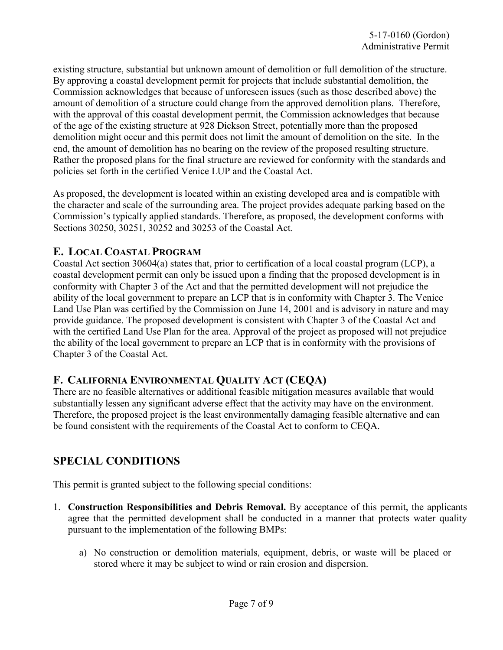existing structure, substantial but unknown amount of demolition or full demolition of the structure. By approving a coastal development permit for projects that include substantial demolition, the Commission acknowledges that because of unforeseen issues (such as those described above) the amount of demolition of a structure could change from the approved demolition plans. Therefore, with the approval of this coastal development permit, the Commission acknowledges that because of the age of the existing structure at 928 Dickson Street, potentially more than the proposed demolition might occur and this permit does not limit the amount of demolition on the site. In the end, the amount of demolition has no bearing on the review of the proposed resulting structure. Rather the proposed plans for the final structure are reviewed for conformity with the standards and policies set forth in the certified Venice LUP and the Coastal Act.

As proposed, the development is located within an existing developed area and is compatible with the character and scale of the surrounding area. The project provides adequate parking based on the Commission's typically applied standards. Therefore, as proposed, the development conforms with Sections 30250, 30251, 30252 and 30253 of the Coastal Act.

## **E. LOCAL COASTAL PROGRAM**

Coastal Act section 30604(a) states that, prior to certification of a local coastal program (LCP), a coastal development permit can only be issued upon a finding that the proposed development is in conformity with Chapter 3 of the Act and that the permitted development will not prejudice the ability of the local government to prepare an LCP that is in conformity with Chapter 3. The Venice Land Use Plan was certified by the Commission on June 14, 2001 and is advisory in nature and may provide guidance. The proposed development is consistent with Chapter 3 of the Coastal Act and with the certified Land Use Plan for the area. Approval of the project as proposed will not prejudice the ability of the local government to prepare an LCP that is in conformity with the provisions of Chapter 3 of the Coastal Act.

## **F. CALIFORNIA ENVIRONMENTAL QUALITY ACT (CEQA)**

There are no feasible alternatives or additional feasible mitigation measures available that would substantially lessen any significant adverse effect that the activity may have on the environment. Therefore, the proposed project is the least environmentally damaging feasible alternative and can be found consistent with the requirements of the Coastal Act to conform to CEQA.

# **SPECIAL CONDITIONS**

This permit is granted subject to the following special conditions:

- 1. **Construction Responsibilities and Debris Removal.** By acceptance of this permit, the applicants agree that the permitted development shall be conducted in a manner that protects water quality pursuant to the implementation of the following BMPs:
	- a) No construction or demolition materials, equipment, debris, or waste will be placed or stored where it may be subject to wind or rain erosion and dispersion.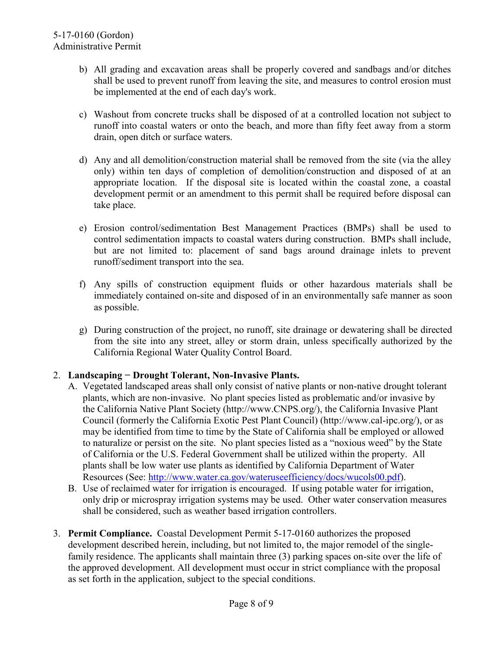- b) All grading and excavation areas shall be properly covered and sandbags and/or ditches shall be used to prevent runoff from leaving the site, and measures to control erosion must be implemented at the end of each day's work.
- c) Washout from concrete trucks shall be disposed of at a controlled location not subject to runoff into coastal waters or onto the beach, and more than fifty feet away from a storm drain, open ditch or surface waters.
- d) Any and all demolition/construction material shall be removed from the site (via the alley only) within ten days of completion of demolition/construction and disposed of at an appropriate location. If the disposal site is located within the coastal zone, a coastal development permit or an amendment to this permit shall be required before disposal can take place.
- e) Erosion control/sedimentation Best Management Practices (BMPs) shall be used to control sedimentation impacts to coastal waters during construction. BMPs shall include, but are not limited to: placement of sand bags around drainage inlets to prevent runoff/sediment transport into the sea.
- f) Any spills of construction equipment fluids or other hazardous materials shall be immediately contained on-site and disposed of in an environmentally safe manner as soon as possible.
- g) During construction of the project, no runoff, site drainage or dewatering shall be directed from the site into any street, alley or storm drain, unless specifically authorized by the California Regional Water Quality Control Board.

#### 2. **Landscaping − Drought Tolerant, Non-Invasive Plants.**

- A. Vegetated landscaped areas shall only consist of native plants or non-native drought tolerant plants, which are non-invasive. No plant species listed as problematic and/or invasive by the California Native Plant Society (http://www.CNPS.org/), the California Invasive Plant Council (formerly the California Exotic Pest Plant Council) (http://www.cal-ipc.org/), or as may be identified from time to time by the State of California shall be employed or allowed to naturalize or persist on the site. No plant species listed as a "noxious weed" by the State of California or the U.S. Federal Government shall be utilized within the property. All plants shall be low water use plants as identified by California Department of Water Resources (See: [http://www.water.ca.gov/wateruseefficiency/docs/wucols00.pdf\)](http://www.water.ca.gov/wateruseefficiency/docs/wucols00.pdf).
- B. Use of reclaimed water for irrigation is encouraged. If using potable water for irrigation, only drip or microspray irrigation systems may be used. Other water conservation measures shall be considered, such as weather based irrigation controllers.
- 3. **Permit Compliance.** Coastal Development Permit 5-17-0160 authorizes the proposed development described herein, including, but not limited to, the major remodel of the singlefamily residence. The applicants shall maintain three (3) parking spaces on-site over the life of the approved development. All development must occur in strict compliance with the proposal as set forth in the application, subject to the special conditions.